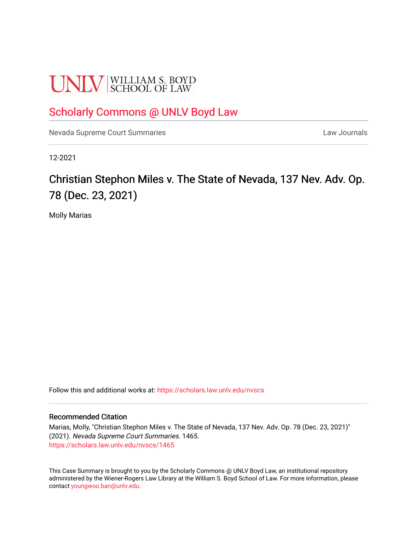# **UNLV** SCHOOL OF LAW

# [Scholarly Commons @ UNLV Boyd Law](https://scholars.law.unlv.edu/)

[Nevada Supreme Court Summaries](https://scholars.law.unlv.edu/nvscs) **Law Journals** Law Journals

12-2021

# Christian Stephon Miles v. The State of Nevada, 137 Nev. Adv. Op. 78 (Dec. 23, 2021)

Molly Marias

Follow this and additional works at: [https://scholars.law.unlv.edu/nvscs](https://scholars.law.unlv.edu/nvscs?utm_source=scholars.law.unlv.edu%2Fnvscs%2F1465&utm_medium=PDF&utm_campaign=PDFCoverPages)

#### Recommended Citation

Marias, Molly, "Christian Stephon Miles v. The State of Nevada, 137 Nev. Adv. Op. 78 (Dec. 23, 2021)" (2021). Nevada Supreme Court Summaries. 1465. [https://scholars.law.unlv.edu/nvscs/1465](https://scholars.law.unlv.edu/nvscs/1465?utm_source=scholars.law.unlv.edu%2Fnvscs%2F1465&utm_medium=PDF&utm_campaign=PDFCoverPages) 

This Case Summary is brought to you by the Scholarly Commons @ UNLV Boyd Law, an institutional repository administered by the Wiener-Rogers Law Library at the William S. Boyd School of Law. For more information, please contact [youngwoo.ban@unlv.edu](mailto:youngwoo.ban@unlv.edu).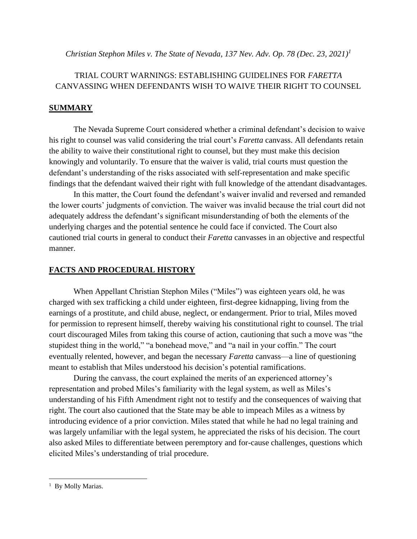*Christian Stephon Miles v. The State of Nevada, 137 Nev. Adv. Op. 78 (Dec. 23, 2021) 1*

# TRIAL COURT WARNINGS: ESTABLISHING GUIDELINES FOR *FARETTA*  CANVASSING WHEN DEFENDANTS WISH TO WAIVE THEIR RIGHT TO COUNSEL

## **SUMMARY**

The Nevada Supreme Court considered whether a criminal defendant's decision to waive his right to counsel was valid considering the trial court's *Faretta* canvass. All defendants retain the ability to waive their constitutional right to counsel, but they must make this decision knowingly and voluntarily. To ensure that the waiver is valid, trial courts must question the defendant's understanding of the risks associated with self-representation and make specific findings that the defendant waived their right with full knowledge of the attendant disadvantages.

In this matter, the Court found the defendant's waiver invalid and reversed and remanded the lower courts' judgments of conviction. The waiver was invalid because the trial court did not adequately address the defendant's significant misunderstanding of both the elements of the underlying charges and the potential sentence he could face if convicted. The Court also cautioned trial courts in general to conduct their *Faretta* canvasses in an objective and respectful manner.

### **FACTS AND PROCEDURAL HISTORY**

When Appellant Christian Stephon Miles ("Miles") was eighteen years old, he was charged with sex trafficking a child under eighteen, first-degree kidnapping, living from the earnings of a prostitute, and child abuse, neglect, or endangerment. Prior to trial, Miles moved for permission to represent himself, thereby waiving his constitutional right to counsel. The trial court discouraged Miles from taking this course of action, cautioning that such a move was "the stupidest thing in the world," "a bonehead move," and "a nail in your coffin." The court eventually relented, however, and began the necessary *Faretta* canvass—a line of questioning meant to establish that Miles understood his decision's potential ramifications.

During the canvass, the court explained the merits of an experienced attorney's representation and probed Miles's familiarity with the legal system, as well as Miles's understanding of his Fifth Amendment right not to testify and the consequences of waiving that right. The court also cautioned that the State may be able to impeach Miles as a witness by introducing evidence of a prior conviction. Miles stated that while he had no legal training and was largely unfamiliar with the legal system, he appreciated the risks of his decision. The court also asked Miles to differentiate between peremptory and for-cause challenges, questions which elicited Miles's understanding of trial procedure.

<sup>&</sup>lt;sup>1</sup> By Molly Marias.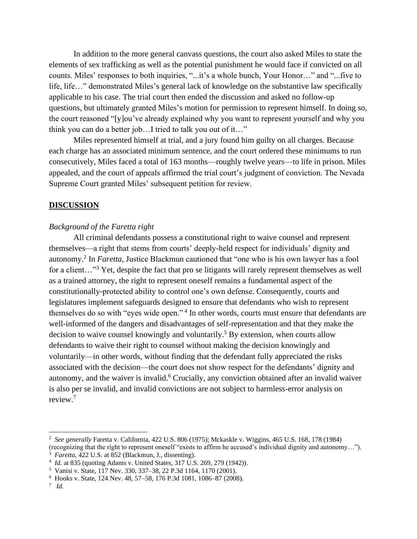In addition to the more general canvass questions, the court also asked Miles to state the elements of sex trafficking as well as the potential punishment he would face if convicted on all counts. Miles' responses to both inquiries, "...it's a whole bunch, Your Honor…" and "...five to life, life…" demonstrated Miles's general lack of knowledge on the substantive law specifically applicable to his case. The trial court then ended the discussion and asked no follow-up questions, but ultimately granted Miles's motion for permission to represent himself. In doing so, the court reasoned "[y]ou've already explained why you want to represent yourself and why you think you can do a better job…I tried to talk you out of it…"

Miles represented himself at trial, and a jury found him guilty on all charges. Because each charge has an associated minimum sentence, and the court ordered these minimums to run consecutively, Miles faced a total of 163 months—roughly twelve years—to life in prison. Miles appealed, and the court of appeals affirmed the trial court's judgment of conviction. The Nevada Supreme Court granted Miles' subsequent petition for review.

#### **DISCUSSION**

#### *Background of the Faretta right*

All criminal defendants possess a constitutional right to waive counsel and represent themselves—a right that stems from courts' deeply-held respect for individuals' dignity and autonomy.<sup>2</sup> In *Faretta*, Justice Blackmun cautioned that "one who is his own lawyer has a fool for a client..."<sup>3</sup> Yet, despite the fact that pro se litigants will rarely represent themselves as well as a trained attorney, the right to represent oneself remains a fundamental aspect of the constitutionally-protected ability to control one's own defense. Consequently, courts and legislatures implement safeguards designed to ensure that defendants who wish to represent themselves do so with "eyes wide open."<sup>4</sup> In other words, courts must ensure that defendants are well-informed of the dangers and disadvantages of self-representation and that they make the decision to waive counsel knowingly and voluntarily. <sup>5</sup> By extension, when courts allow defendants to waive their right to counsel without making the decision knowingly and voluntarily—in other words, without finding that the defendant fully appreciated the risks associated with the decision—the court does not show respect for the defendants' dignity and autonomy, and the waiver is invalid.<sup>6</sup> Crucially, any conviction obtained after an invalid waiver is also per se invalid, and invalid convictions are not subject to harmless-error analysis on review.<sup>7</sup>

<sup>2</sup> *See generally* Faretta v. California, 422 U.S. 806 (1975); Mckaskle v. Wiggins, 465 U.S. 168, 178 (1984)

<sup>(</sup>recognizing that the right to represent oneself "exists to affirm he accused's individual dignity and autonomy…").

<sup>&</sup>lt;sup>3</sup> *Faretta*, 422 U.S. at 852 (Blackmun, J., dissenting).

<sup>4</sup> *Id.* at 835 (quoting Adams v. United States, 317 U.S. 269, 279 (1942)).

<sup>5</sup> Vanisi v. State, 117 Nev. 330, 337–38, 22 P.3d 1164, 1170 (2001).

<sup>6</sup> Hooks v. State, 124 Nev. 48, 57–58, 176 P.3d 1081, 1086–87 (2008).

<sup>7</sup> *Id.*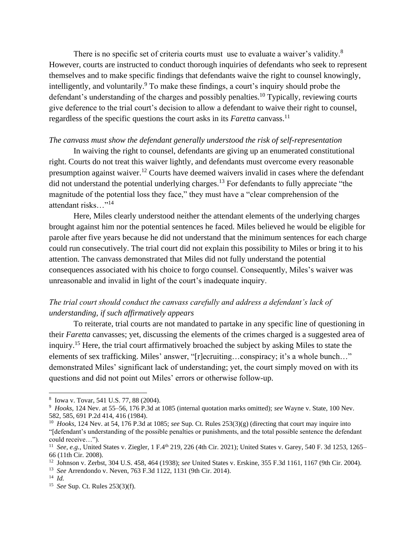There is no specific set of criteria courts must use to evaluate a waiver's validity.<sup>8</sup> However, courts are instructed to conduct thorough inquiries of defendants who seek to represent themselves and to make specific findings that defendants waive the right to counsel knowingly, intelligently, and voluntarily.<sup>9</sup> To make these findings, a court's inquiry should probe the defendant's understanding of the charges and possibly penalties.<sup>10</sup> Typically, reviewing courts give deference to the trial court's decision to allow a defendant to waive their right to counsel, regardless of the specific questions the court asks in its *Faretta* canvass.<sup>11</sup>

#### *The canvass must show the defendant generally understood the risk of self-representation*

In waiving the right to counsel, defendants are giving up an enumerated constitutional right. Courts do not treat this waiver lightly, and defendants must overcome every reasonable presumption against waiver.<sup>12</sup> Courts have deemed waivers invalid in cases where the defendant did not understand the potential underlying charges.<sup>13</sup> For defendants to fully appreciate "the magnitude of the potential loss they face," they must have a "clear comprehension of the attendant risks…"<sup>14</sup>

Here, Miles clearly understood neither the attendant elements of the underlying charges brought against him nor the potential sentences he faced. Miles believed he would be eligible for parole after five years because he did not understand that the minimum sentences for each charge could run consecutively. The trial court did not explain this possibility to Miles or bring it to his attention. The canvass demonstrated that Miles did not fully understand the potential consequences associated with his choice to forgo counsel. Consequently, Miles's waiver was unreasonable and invalid in light of the court's inadequate inquiry.

## *The trial court should conduct the canvass carefully and address a defendant's lack of understanding, if such affirmatively appears*

To reiterate, trial courts are not mandated to partake in any specific line of questioning in their *Faretta* canvasses; yet, discussing the elements of the crimes charged is a suggested area of inquiry.<sup>15</sup> Here, the trial court affirmatively broached the subject by asking Miles to state the elements of sex trafficking. Miles' answer, "[r]ecruiting…conspiracy; it's a whole bunch…" demonstrated Miles' significant lack of understanding; yet, the court simply moved on with its questions and did not point out Miles' errors or otherwise follow-up.

13 *See* Arrendondo v. Neven, 763 F.3d 1122, 1131 (9th Cir. 2014).

<sup>8</sup> Iowa v. Tovar, 541 U.S. 77, 88 (2004).

<sup>9</sup> *Hooks*, 124 Nev. at 55–56, 176 P.3d at 1085 (internal quotation marks omitted); *see* Wayne v. State, 100 Nev. 582, 585, 691 P.2d 414, 416 (1984).

<sup>10</sup> *Hooks*, 124 Nev. at 54, 176 P.3d at 1085; *see* Sup. Ct. Rules 253(3)(g) (directing that court may inquire into "[defendant's understanding of the possible penalties or punishments, and the total possible sentence the defendant could receive…").

<sup>&</sup>lt;sup>11</sup> See, e.g., United States v. Ziegler, 1 F.4<sup>th</sup> 219, 226 (4th Cir. 2021); United States v. Garey, 540 F. 3d 1253, 1265– 66 (11th Cir. 2008).

<sup>12</sup> Johnson v. Zerbst, 304 U.S. 458, 464 (1938); *see* United States v. Erskine, 355 F.3d 1161, 1167 (9th Cir. 2004).

<sup>14</sup> *Id.*

<sup>15</sup> *See* Sup. Ct. Rules 253(3)(f).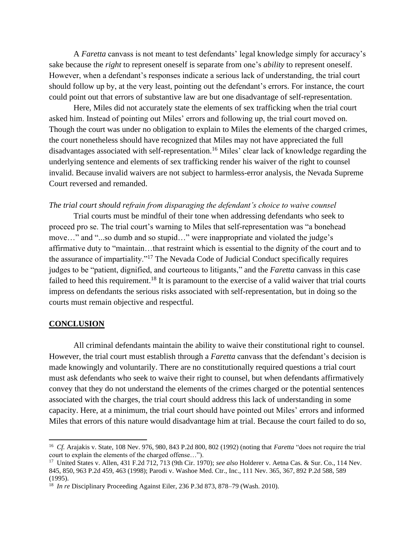A *Faretta* canvass is not meant to test defendants' legal knowledge simply for accuracy's sake because the *right* to represent oneself is separate from one's *ability* to represent oneself. However, when a defendant's responses indicate a serious lack of understanding, the trial court should follow up by, at the very least, pointing out the defendant's errors. For instance, the court could point out that errors of substantive law are but one disadvantage of self-representation.

Here, Miles did not accurately state the elements of sex trafficking when the trial court asked him. Instead of pointing out Miles' errors and following up, the trial court moved on. Though the court was under no obligation to explain to Miles the elements of the charged crimes, the court nonetheless should have recognized that Miles may not have appreciated the full disadvantages associated with self-representation.<sup>16</sup> Miles' clear lack of knowledge regarding the underlying sentence and elements of sex trafficking render his waiver of the right to counsel invalid. Because invalid waivers are not subject to harmless-error analysis, the Nevada Supreme Court reversed and remanded.

#### *The trial court should refrain from disparaging the defendant's choice to waive counsel*

Trial courts must be mindful of their tone when addressing defendants who seek to proceed pro se. The trial court's warning to Miles that self-representation was "a bonehead move…" and "...so dumb and so stupid…" were inappropriate and violated the judge's affirmative duty to "maintain…that restraint which is essential to the dignity of the court and to the assurance of impartiality."<sup>17</sup> The Nevada Code of Judicial Conduct specifically requires judges to be "patient, dignified, and courteous to litigants," and the *Faretta* canvass in this case failed to heed this requirement.<sup>18</sup> It is paramount to the exercise of a valid waiver that trial courts impress on defendants the serious risks associated with self-representation, but in doing so the courts must remain objective and respectful.

#### **CONCLUSION**

All criminal defendants maintain the ability to waive their constitutional right to counsel. However, the trial court must establish through a *Faretta* canvass that the defendant's decision is made knowingly and voluntarily. There are no constitutionally required questions a trial court must ask defendants who seek to waive their right to counsel, but when defendants affirmatively convey that they do not understand the elements of the crimes charged or the potential sentences associated with the charges, the trial court should address this lack of understanding in some capacity. Here, at a minimum, the trial court should have pointed out Miles' errors and informed Miles that errors of this nature would disadvantage him at trial. Because the court failed to do so,

<sup>16</sup> *Cf.* Arajakis v. State, 108 Nev. 976, 980, 843 P.2d 800, 802 (1992) (noting that *Faretta* "does not require the trial court to explain the elements of the charged offense…").

<sup>17</sup> United States v. Allen, 431 F.2d 712, 713 (9th Cir. 1970); *see also* Holderer v. Aetna Cas. & Sur. Co., 114 Nev. 845, 850, 963 P.2d 459, 463 (1998); Parodi v. Washoe Med. Ctr., Inc., 111 Nev. 365, 367, 892 P.2d 588, 589 (1995).

<sup>&</sup>lt;sup>18</sup> *In re* Disciplinary Proceeding Against Eiler, 236 P.3d 873, 878–79 (Wash. 2010).